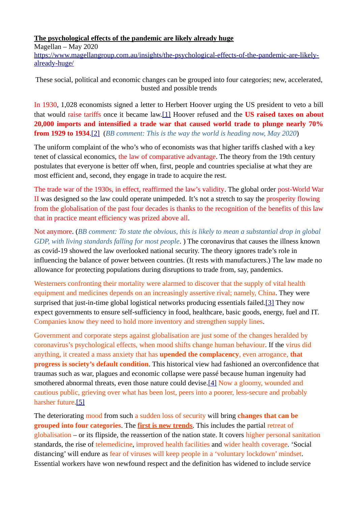### **The psychological effects of the pandemic are likely already huge**

Magellan – May 2020

[https://www.magellangroup.com.au/insights/the-psychological-effects-of-the-pandemic-are-likely](https://www.magellangroup.com.au/insights/the-psychological-effects-of-the-pandemic-are-likely-already-huge/)[already-huge/](https://www.magellangroup.com.au/insights/the-psychological-effects-of-the-pandemic-are-likely-already-huge/) 

These social, political and economic changes can be grouped into four categories; new, accelerated, busted and possible trends

In 1930, 1,028 economists signed a letter to Herbert Hoover urging the US president to veto a bill that would raise tariffs once it became law.[\[1\]](https://www.magellangroup.com.au/insights/the-psychological-effects-of-the-pandemic-are-likely-already-huge/#_ftn1) Hoover refused and the **US raised taxes on about 20,000 imports and intensified a trade war that caused world trade to plunge nearly 70% from 1929 to 1934**.[\[2\]](https://www.magellangroup.com.au/insights/the-psychological-effects-of-the-pandemic-are-likely-already-huge/#_ftn2) (*BB comment: This is the way the world is heading now, May 2020*)

The uniform complaint of the who's who of economists was that higher tariffs clashed with a key tenet of classical economics, the law of comparative advantage. The theory from the 19th century postulates that everyone is better off when, first, people and countries specialise at what they are most efficient and, second, they engage in trade to acquire the rest.

The trade war of the 1930s, in effect, reaffirmed the law's validity. The global order post-World War II was designed so the law could operate unimpeded. It's not a stretch to say the prosperity flowing from the globalisation of the past four decades is thanks to the recognition of the benefits of this law that in practice meant efficiency was prized above all.

Not anymore. (*BB comment: To state the obvious, this is likely to mean a substantial drop in global GDP, with living standards falling for most people*. ) The coronavirus that causes the illness known as covid-19 showed the law overlooked national security. The theory ignores trade's role in influencing the balance of power between countries. (It rests with manufacturers.) The law made no allowance for protecting populations during disruptions to trade from, say, pandemics.

Westerners confronting their mortality were alarmed to discover that the supply of vital health equipment and medicines depends on an increasingly assertive rival; namely, China. They were surprised that just-in-time global logistical networks producing essentials failed.[\[3\]](https://www.magellangroup.com.au/insights/the-psychological-effects-of-the-pandemic-are-likely-already-huge/#_ftn3) They now expect governments to ensure self-sufficiency in food, healthcare, basic goods, energy, fuel and IT. Companies know they need to hold more inventory and strengthen supply lines.

Government and corporate steps against globalisation are just some of the changes heralded by coronavirus's psychological effects, when mood shifts change human behaviour. If the virus did anything, it created a mass anxiety that has **upended the complacency**, even arrogance, **that progress is society's default condition**. This historical view had fashioned an overconfidence that traumas such as war, plagues and economic collapse were passé because human ingenuity had smothered abnormal threats, even those nature could devise[.\[4\]](https://www.magellangroup.com.au/insights/the-psychological-effects-of-the-pandemic-are-likely-already-huge/#_ftn4) Now a gloomy, wounded and cautious public, grieving over what has been lost, peers into a poorer, less-secure and probably harsher future.[\[5\]](https://www.magellangroup.com.au/insights/the-psychological-effects-of-the-pandemic-are-likely-already-huge/#_ftn5)

The deteriorating mood from such a sudden loss of security will bring **changes that can be grouped into four categories**. The **first is new trends**. This includes the partial retreat of globalisation – or its flipside, the reassertion of the nation state. It covers higher personal sanitation standards, the rise of telemedicine, improved health facilities and wider health coverage. 'Social distancing' will endure as fear of viruses will keep people in a 'voluntary lockdown' mindset. Essential workers have won newfound respect and the definition has widened to include service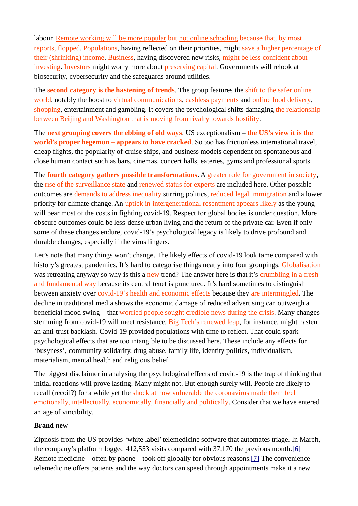labour. Remote working will be more popular but not online schooling because that, by most reports, flopped. Populations, having reflected on their priorities, might save a higher percentage of their (shrinking) income. Business, having discovered new risks, might be less confident about investing. Investors might worry more about preserving capital. Governments will relook at biosecurity, cybersecurity and the safeguards around utilities.

The **second category is the hastening of trends**. The group features the shift to the safer online world, notably the boost to virtual communications, cashless payments and online food delivery, shopping, entertainment and gambling. It covers the psychological shifts damaging the relationship between Beijing and Washington that is moving from rivalry towards hostility.

The **next grouping covers the ebbing of old ways**. US exceptionalism – **the US's view it is the world's proper hegemon – appears to have cracked**. So too has frictionless international travel, cheap flights, the popularity of cruise ships, and business models dependent on spontaneous and close human contact such as bars, cinemas, concert halls, eateries, gyms and professional sports.

The **fourth category gathers possible transformations**. A greater role for government in society, the rise of the surveillance state and renewed status for experts are included here. Other possible outcomes are demands to address inequality stirring politics, reduced legal immigration and a lower priority for climate change. An uptick in intergenerational resentment appears likely as the young will bear most of the costs in fighting covid-19. Respect for global bodies is under question. More obscure outcomes could be less-dense urban living and the return of the private car. Even if only some of these changes endure, covid-19's psychological legacy is likely to drive profound and durable changes, especially if the virus lingers.

Let's note that many things won't change. The likely effects of covid-19 look tame compared with history's greatest pandemics. It's hard to categorise things neatly into four groupings. Globalisation was retreating anyway so why is this a new trend? The answer here is that it's crumbling in a fresh and fundamental way because its central tenet is punctured. It's hard sometimes to distinguish between anxiety over covid-19's health and economic effects because they are intermingled. The decline in traditional media shows the economic damage of reduced advertising can outweigh a beneficial mood swing – that worried people sought credible news during the crisis. Many changes stemming from covid-19 will meet resistance. Big Tech's renewed leap, for instance, might hasten an anti-trust backlash. Covid-19 provided populations with time to reflect. That could spark psychological effects that are too intangible to be discussed here. These include any effects for 'busyness', community solidarity, drug abuse, family life, identity politics, individualism, materialism, mental health and religious belief.

The biggest disclaimer in analysing the psychological effects of covid-19 is the trap of thinking that initial reactions will prove lasting. Many might not. But enough surely will. People are likely to recall (recoil?) for a while yet the shock at how vulnerable the coronavirus made them feel emotionally, intellectually, economically, financially and politically. Consider that we have entered an age of vincibility.

#### **Brand new**

Zipnosis from the US provides 'white label' telemedicine software that automates triage. In March, the company's platform logged 412,553 visits compared with 37,170 the previous month.<sup>[\[6\]](https://www.magellangroup.com.au/insights/the-psychological-effects-of-the-pandemic-are-likely-already-huge/#_ftn6)</sup> Remote medicine – often by phone – took off globally for obvious reasons[.\[7\]](https://www.magellangroup.com.au/insights/the-psychological-effects-of-the-pandemic-are-likely-already-huge/#_ftn7) The convenience telemedicine offers patients and the way doctors can speed through appointments make it a new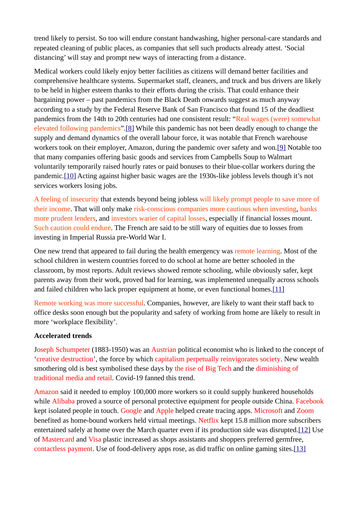trend likely to persist. So too will endure constant handwashing, higher personal-care standards and repeated cleaning of public places, as companies that sell such products already attest. 'Social distancing' will stay and prompt new ways of interacting from a distance.

Medical workers could likely enjoy better facilities as citizens will demand better facilities and comprehensive healthcare systems. Supermarket staff, cleaners, and truck and bus drivers are likely to be held in higher esteem thanks to their efforts during the crisis. That could enhance their bargaining power – past pandemics from the Black Death onwards suggest as much anyway according to a study by the Federal Reserve Bank of San Francisco that found 15 of the deadliest pandemics from the 14th to 20th centuries had one consistent result: "Real wages (were) somewhat elevated following pandemics"[.\[8\]](https://www.magellangroup.com.au/insights/the-psychological-effects-of-the-pandemic-are-likely-already-huge/#_ftn8) While this pandemic has not been deadly enough to change the supply and demand dynamics of the overall labour force, it was notable that French warehouse workers took on their employer, Amazon, during the pandemic over safety and won[.\[9\]](https://www.magellangroup.com.au/insights/the-psychological-effects-of-the-pandemic-are-likely-already-huge/#_ftn9) Notable too that many companies offering basic goods and services from Campbells Soup to Walmart voluntarily temporarily raised hourly rates or paid bonuses to their blue-collar workers during the pandemic[.\[10\]](https://www.magellangroup.com.au/insights/the-psychological-effects-of-the-pandemic-are-likely-already-huge/#_ftn10) Acting against higher basic wages are the 1930s-like jobless levels though it's not services workers losing jobs.

A feeling of insecurity that extends beyond being jobless will likely prompt people to save more of their income. That will only make risk-conscious companies more cautious when investing, banks more prudent lenders, and investors warier of capital losses, especially if financial losses mount. Such caution could endure. The French are said to be still wary of equities due to losses from investing in Imperial Russia pre-World War I.

One new trend that appeared to fail during the health emergency was remote learning. Most of the school children in western countries forced to do school at home are better schooled in the classroom, by most reports. Adult reviews showed remote schooling, while obviously safer, kept parents away from their work, proved bad for learning, was implemented unequally across schools and failed children who lack proper equipment at home, or even functional homes[.\[11\]](https://www.magellangroup.com.au/insights/the-psychological-effects-of-the-pandemic-are-likely-already-huge/#_ftn11)

Remote working was more successful. Companies, however, are likely to want their staff back to office desks soon enough but the popularity and safety of working from home are likely to result in more 'workplace flexibility'.

#### **Accelerated trends**

Joseph Schumpeter (1883-1950) was an Austrian political economist who is linked to the concept of 'creative destruction', the force by which capitalism perpetually reinvigorates society. New wealth smothering old is best symbolised these days by the rise of Big Tech and the diminishing of traditional media and retail. Covid-19 fanned this trend.

Amazon said it needed to employ 100,000 more workers so it could supply hunkered households while Alibaba proved a source of personal protective equipment for people outside China. Facebook kept isolated people in touch. Google and Apple helped create tracing apps. Microsoft and Zoom benefited as home-bound workers held virtual meetings. Netflix kept 15.8 million more subscribers entertained safely at home over the March quarter even if its production side was disrupted[.\[12\]](https://www.magellangroup.com.au/insights/the-psychological-effects-of-the-pandemic-are-likely-already-huge/#_ftn12) Use of Mastercard and Visa plastic increased as shops assistants and shoppers preferred germfree, contactless payment. Use of food-delivery apps rose, as did traffic on online gaming sites[.\[13\]](https://www.magellangroup.com.au/insights/the-psychological-effects-of-the-pandemic-are-likely-already-huge/#_ftn13)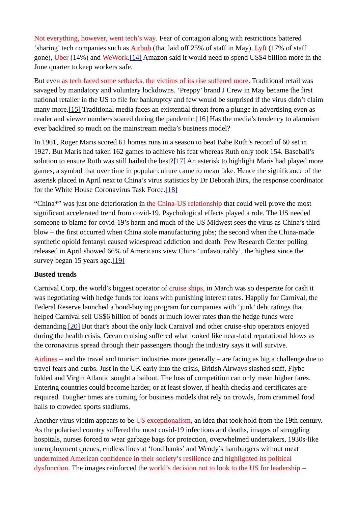Not everything, however, went tech's way. Fear of contagion along with restrictions battered 'sharing' tech companies such as Airbnb (that laid off 25% of staff in May), Lyft (17% of staff gone), Uber (14%) and WeWork[.\[14\]](https://www.magellangroup.com.au/insights/the-psychological-effects-of-the-pandemic-are-likely-already-huge/#_ftn14) Amazon said it would need to spend US\$4 billion more in the June quarter to keep workers safe.

But even as tech faced some setbacks, the victims of its rise suffered more. Traditional retail was savaged by mandatory and voluntary lockdowns. 'Preppy' brand J Crew in May became the first national retailer in the US to file for bankruptcy and few would be surprised if the virus didn't claim many more[.\[15\]](https://www.magellangroup.com.au/insights/the-psychological-effects-of-the-pandemic-are-likely-already-huge/#_ftn15) Traditional media faces an existential threat from a plunge in advertising even as reader and viewer numbers soared during the pandemic.[\[16\]](https://www.magellangroup.com.au/insights/the-psychological-effects-of-the-pandemic-are-likely-already-huge/#_ftn16) Has the media's tendency to alarmism ever backfired so much on the mainstream media's business model?

In 1961, Roger Maris scored 61 homes runs in a season to beat Babe Ruth's record of 60 set in 1927. But Maris had taken 162 games to achieve his feat whereas Ruth only took 154. Baseball's solution to ensure Ruth was still hailed the best?[\[17\]](https://www.magellangroup.com.au/insights/the-psychological-effects-of-the-pandemic-are-likely-already-huge/#_ftn17) An asterisk to highlight Maris had played more games, a symbol that over time in popular culture came to mean fake. Hence the significance of the asterisk placed in April next to China's virus statistics by Dr Deborah Birx, the response coordinator for the White House Coronavirus Task Force.[\[18\]](https://www.magellangroup.com.au/insights/the-psychological-effects-of-the-pandemic-are-likely-already-huge/#_ftn18)

"China\*" was just one deterioration in the China-US relationship that could well prove the most significant accelerated trend from covid-19. Psychological effects played a role. The US needed someone to blame for covid-19's harm and much of the US Midwest sees the virus as China's third blow – the first occurred when China stole manufacturing jobs; the second when the China-made synthetic opioid fentanyl caused widespread addiction and death. Pew Research Center polling released in April showed 66% of Americans view China 'unfavourably', the highest since the survey began 15 years ago[.\[19\]](https://www.magellangroup.com.au/insights/the-psychological-effects-of-the-pandemic-are-likely-already-huge/#_ftn19)

#### **Busted trends**

Carnival Corp, the world's biggest operator of cruise ships, in March was so desperate for cash it was negotiating with hedge funds for loans with punishing interest rates. Happily for Carnival, the Federal Reserve launched a bond-buying program for companies with 'junk' debt ratings that helped Carnival sell US\$6 billion of bonds at much lower rates than the hedge funds were demanding[.\[20\]](https://www.magellangroup.com.au/insights/the-psychological-effects-of-the-pandemic-are-likely-already-huge/#_ftn20) But that's about the only luck Carnival and other cruise-ship operators enjoyed during the health crisis. Ocean cruising suffered what looked like near-fatal reputational blows as the coronavirus spread through their passengers though the industry says it will survive.

Airlines – and the travel and tourism industries more generally – are facing as big a challenge due to travel fears and curbs. Just in the UK early into the crisis, British Airways slashed staff, Flybe folded and Virgin Atlantic sought a bailout. The loss of competition can only mean higher fares. Entering countries could become harder, or at least slower, if health checks and certificates are required. Tougher times are coming for business models that rely on crowds, from crammed food halls to crowded sports stadiums.

Another virus victim appears to be US exceptionalism, an idea that took hold from the 19th century. As the polarised country suffered the most covid-19 infections and deaths, images of struggling hospitals, nurses forced to wear garbage bags for protection, overwhelmed undertakers, 1930s-like unemployment queues, endless lines at 'food banks' and Wendy's hamburgers without meat undermined American confidence in their society's resilience and highlighted its political dysfunction. The images reinforced the world's decision not to look to the US for leadership –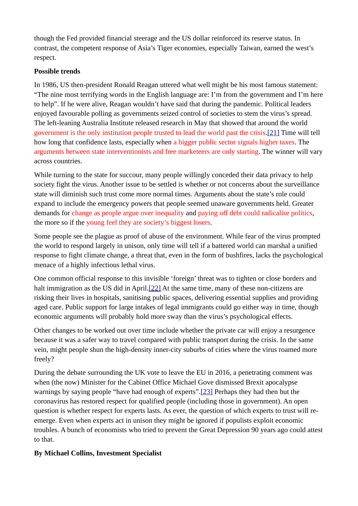though the Fed provided financial steerage and the US dollar reinforced its reserve status. In contrast, the competent response of Asia's Tiger economies, especially Taiwan, earned the west's respect.

## **Possible trends**

In 1986, US then-president Ronald Reagan uttered what well might be his most famous statement: "The nine most terrifying words in the English language are: I'm from the government and I'm here to help". If he were alive, Reagan wouldn't have said that during the pandemic. Political leaders enjoyed favourable polling as governments seized control of societies to stem the virus's spread. The left-leaning Australia Institute released research in May that showed that around the world government is the only institution people trusted to lead the world past the crisis.[\[21\]](https://www.magellangroup.com.au/insights/the-psychological-effects-of-the-pandemic-are-likely-already-huge/#_ftn21) Time will tell how long that confidence lasts, especially when a bigger public sector signals higher taxes. The arguments between state interventionists and free marketeers are only starting. The winner will vary across countries.

While turning to the state for succour, many people willingly conceded their data privacy to help society fight the virus. Another issue to be settled is whether or not concerns about the surveillance state will diminish such trust come more normal times. Arguments about the state's role could expand to include the emergency powers that people seemed unaware governments held. Greater demands for change as people argue over inequality and paying off debt could radicalise politics, the more so if the young feel they are society's biggest losers.

Some people see the plague as proof of abuse of the environment. While fear of the virus prompted the world to respond largely in unison, only time will tell if a battered world can marshal a unified response to fight climate change, a threat that, even in the form of bushfires, lacks the psychological menace of a highly infectious lethal virus.

One common official response to this invisible 'foreign' threat was to tighten or close borders and halt immigration as the US did in April.<sup>[22]</sup> At the same time, many of these non-citizens are risking their lives in hospitals, sanitising public spaces, delivering essential supplies and providing aged care. Public support for large intakes of legal immigrants could go either way in time, though economic arguments will probably hold more sway than the virus's psychological effects.

Other changes to be worked out over time include whether the private car will enjoy a resurgence because it was a safer way to travel compared with public transport during the crisis. In the same vein, might people shun the high-density inner-city suburbs of cities where the virus roamed more freely?

During the debate surrounding the UK vote to leave the EU in 2016, a penetrating comment was when (the now) Minister for the Cabinet Office Michael Gove dismissed Brexit apocalypse warnings by saying people "have had enough of experts".[\[23\]](https://www.magellangroup.com.au/insights/the-psychological-effects-of-the-pandemic-are-likely-already-huge/#_ftn23) Perhaps they had then but the coronavirus has restored respect for qualified people (including those in government). An open question is whether respect for experts lasts. As ever, the question of which experts to trust will reemerge. Even when experts act in unison they might be ignored if populists exploit economic troubles. A bunch of economists who tried to prevent the Great Depression 90 years ago could attest to that.

# **By Michael Collins, Investment Specialist**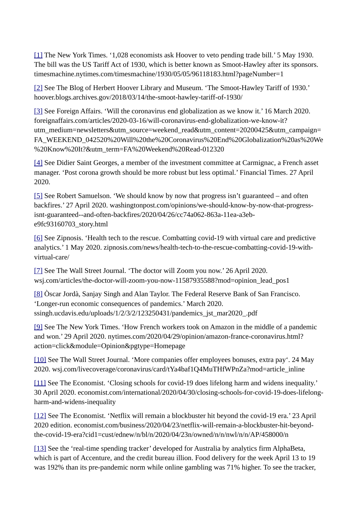[\[1\]](https://www.magellangroup.com.au/insights/the-psychological-effects-of-the-pandemic-are-likely-already-huge/#_ftnref1) The New York Times. '1,028 economists ask Hoover to veto pending trade bill.' 5 May 1930. The bill was the US Tariff Act of 1930, which is better known as Smoot-Hawley after its sponsors. timesmachine.nytimes.com/timesmachine/1930/05/05/96118183.html?pageNumber=1

[\[2\]](https://www.magellangroup.com.au/insights/the-psychological-effects-of-the-pandemic-are-likely-already-huge/#_ftnref2) See The Blog of Herbert Hoover Library and Museum. 'The Smoot-Hawley Tariff of 1930.' hoover.blogs.archives.gov/2018/03/14/the-smoot-hawley-tariff-of-1930/

[\[3\]](https://www.magellangroup.com.au/insights/the-psychological-effects-of-the-pandemic-are-likely-already-huge/#_ftnref3) See Foreign Affairs. 'Will the coronavirus end globalization as we know it.' 16 March 2020. foreignaffairs.com/articles/2020-03-16/will-coronavirus-end-globalization-we-know-it? utm\_medium=newsletters&utm\_source=weekend\_read&utm\_content=20200425&utm\_campaign= FA\_WEEKEND\_042520%20Will%20the%20Coronavirus%20End%20Globalization%20as%20We %20Know%20It?&utm\_term=FA%20Weekend%20Read-012320

[\[4\]](https://www.magellangroup.com.au/insights/the-psychological-effects-of-the-pandemic-are-likely-already-huge/#_ftnref4) See Didier Saint Georges, a member of the investment committee at Carmignac, a French asset manager. 'Post corona growth should be more robust but less optimal.' Financial Times. 27 April 2020.

[\[5\]](https://www.magellangroup.com.au/insights/the-psychological-effects-of-the-pandemic-are-likely-already-huge/#_ftnref5) See Robert Samuelson. 'We should know by now that progress isn't guaranteed – and often backfires.' 27 April 2020. washingtonpost.com/opinions/we-should-know-by-now-that-progressisnt-guaranteed--and-often-backfires/2020/04/26/cc74a062-863a-11ea-a3ebe9fc93160703\_story.html

[\[6\]](https://www.magellangroup.com.au/insights/the-psychological-effects-of-the-pandemic-are-likely-already-huge/#_ftnref6) See Zipnosis. 'Health tech to the rescue. Combatting covid-19 with virtual care and predictive analytics.' 1 May 2020. zipnosis.com/news/health-tech-to-the-rescue-combatting-covid-19-withvirtual-care/

[\[7\]](https://www.magellangroup.com.au/insights/the-psychological-effects-of-the-pandemic-are-likely-already-huge/#_ftnref7) See The Wall Street Journal. 'The doctor will Zoom you now.' 26 April 2020. wsj.com/articles/the-doctor-will-zoom-you-now-11587935588?mod=opinion\_lead\_pos1

[\[8\]](https://www.magellangroup.com.au/insights/the-psychological-effects-of-the-pandemic-are-likely-already-huge/#_ftnref8) Òscar Jordà, Sanjay Singh and Alan Taylor. The Federal Reserve Bank of San Francisco. 'Longer-run economic consequences of pandemics.' March 2020. ssingh.ucdavis.edu/uploads/1/2/3/2/123250431/pandemics\_jst\_mar2020\_.pdf

[\[9\]](https://www.magellangroup.com.au/insights/the-psychological-effects-of-the-pandemic-are-likely-already-huge/#_ftnref9) See The New York Times. 'How French workers took on Amazon in the middle of a pandemic and won.' 29 April 2020. nytimes.com/2020/04/29/opinion/amazon-france-coronavirus.html? action=click&module=Opinion&pgtype=Homepage

[\[10\]](https://www.magellangroup.com.au/insights/the-psychological-effects-of-the-pandemic-are-likely-already-huge/#_ftnref10) See The Wall Street Journal. 'More companies offer employees bonuses, extra pay'. 24 May 2020. wsj.com/livecoverage/coronavirus/card/tYa4baf1Q4MuTHfWPnZa?mod=article\_inline

[\[11\]](https://www.magellangroup.com.au/insights/the-psychological-effects-of-the-pandemic-are-likely-already-huge/#_ftnref11) See The Economist. 'Closing schools for covid-19 does lifelong harm and widens inequality.' 30 April 2020. economist.com/international/2020/04/30/closing-schools-for-covid-19-does-lifelongharm-and-widens-inequality

[\[12\]](https://www.magellangroup.com.au/insights/the-psychological-effects-of-the-pandemic-are-likely-already-huge/#_ftnref12) See The Economist. 'Netflix will remain a blockbuster hit beyond the covid-19 era.' 23 April 2020 edition. economist.com/business/2020/04/23/netflix-will-remain-a-blockbuster-hit-beyondthe-covid-19-era?cid1=cust/ednew/n/bl/n/2020/04/23n/owned/n/n/nwl/n/n/AP/458000/n

[\[13\]](https://www.magellangroup.com.au/insights/the-psychological-effects-of-the-pandemic-are-likely-already-huge/#_ftnref13) See the 'real-time spending tracker' developed for Australia by analytics firm AlphaBeta, which is part of Accenture, and the credit bureau illion. Food delivery for the week April 13 to 19 was 192% than its pre-pandemic norm while online gambling was 71% higher. To see the tracker,